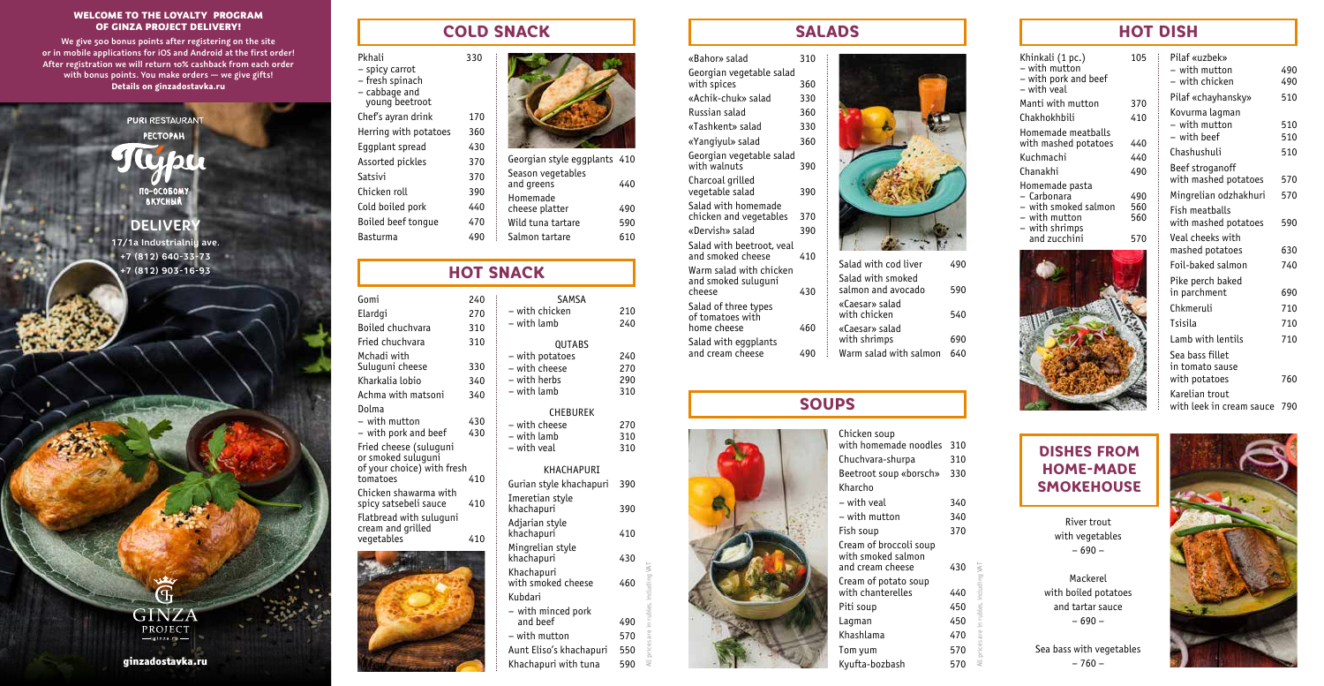### WELCOME TO THE LOYALTY PROGRAM OF GINZA PROJECT DELIVERY!

**We give 500 bonus points after registering on the site or in mobile applications for iOS and Android at the first order! After registration we will return 10% cashback from each order with bonus points. You make orders — we give gifts! Details on ginzadostavka.ru**

**PURI RESTAURAN**T

**PECTOPAH** *Illumor* TO-OCOBOMY **DELIVERY**

**17/1а Industrialniy ave. +7 (812) 640-33-73**

**+7 (812) 903-16-93** 

 $\overline{\mathbf{G}}$ **GINZA** PROJECT  $-\sin z a \cdot ru$ 

ginzadostavka.ru

### COLD SNACK

Pkhali 330 – spicy carrot – fresh spinach – cabbage and young beetroot Chef's ayran drink 170 Herring with potatoes 360 Eggplant spread 430 Assorted pickles 370

Satsivi Chicken roll Cold boiled pork Boiled beef tonque

**Basturma** 

| 370 | Georgian style eggplants 410    |     |
|-----|---------------------------------|-----|
| 370 | Season vegetables<br>and greens | 440 |
| 390 | Homemade                        |     |
| 440 | cheese platter                  | 490 |
| 470 | Wild tuna tartare               | 590 |
| 490 | Salmon tartare                  | 610 |

## HOT SNACK

| Gomi                                             | 240 | <b>SAMSA</b>                  |     |
|--------------------------------------------------|-----|-------------------------------|-----|
| Elardgi                                          | 270 | – with chicken                | 210 |
| Boiled chuchvara                                 | 310 | - with lamb                   | 240 |
| Fried chuchvara                                  | 310 | <b>QUTABS</b>                 |     |
| Mchadi with                                      |     | - with potatoes               | 240 |
| Suluguni cheese                                  | 330 | - with cheese                 | 270 |
| Kharkalia lobio                                  | 340 | - with herbs                  | 290 |
| Achma with matsoni                               | 340 | – with lamb                   | 310 |
| Dolma                                            |     | <b>CHEBUREK</b>               |     |
| $-$ with mutton                                  | 430 | – with cheese                 | 270 |
| - with pork and beef                             | 430 | - with lamb                   | 310 |
| Fried cheese (suluguni                           |     | - with yeal                   | 310 |
| or smoked suluguni<br>of your choice) with fresh |     | KHACHAPIJRT                   |     |
| tomatoes                                         | 410 |                               | 390 |
| Chicken shawarma with                            |     | Gurian style khachapuri       |     |
| spicy satsebeli sauce                            | 410 | Imeretian style<br>khachapuri | 390 |
| Flatbread with suluquni                          |     | Adjarian style                |     |
| cream and grilled                                |     | khachapuri                    | 410 |
| vegetables                                       | 410 | Mingrelian style              |     |
|                                                  |     | khachapuri                    | 430 |
|                                                  |     | Khachapuri                    |     |
|                                                  |     | with smoked cheese            | 460 |
|                                                  |     | Kubdari                       |     |
|                                                  |     | – with minced pork            |     |
|                                                  |     | and heef                      | 490 |
|                                                  |     | – with mutton                 | 570 |
|                                                  |     | Aunt Eliso's khachapuri       | 550 |

Khachapuri with tuna 590

All prices are in rubles, including VAT

| <b>SALAD</b> |
|--------------|
|--------------|

«Bahor» salad 310 Georgian vegetable salad<br>with spices 360  $with$  spices «Achik-chuk» salad 330 Russian salad 360 «Tashkent» salad 330 «Yangiyul» salad 360 Georgian vegetable salad<br>with walnuts 390 with walnuts Charcoal grilled vegetable salad 390 Salad with homemade chicken and vegetables 370 «Dervish» salad 390 Salad with beetroot, veal and smoked cheese 410 Warm salad with chicken and smoked suluguni cheese 430 Salad of three types of tomatoes with home cheese 460 Salad with eggplants and cream cheese 490



| Salad with cod liver                    | 490 |
|-----------------------------------------|-----|
| Salad with smoked<br>salmon and avocado | 590 |
| «Caesar» salad<br>with chicken          | 540 |
| «Caesar» salad<br>with shrimps          | 690 |
| Warm salad with salmon                  |     |

## **SOUPS**



Pilaf «uzbek» – with mutton 490  $-$  with chicken Pilaf «chayhansky» 510 Kovurma lagman – with mutton 510  $-$  with beef Chashushuli 510 Beef stroganoff with mashed potatoes 570 Mingrelian odzhakhuri 570 Fish meatballs with mashed potatoes 590 Veal cheeks with mashed potatoes 630 Foil-baked salmon 740 Pike perch baked in parchment 690 Chkmeruli 710 Tsisila 710 Lamb with lentils 710 Sea bass fillet in tomato sause with potatoes 760 Khinkali (1 pc.) 105 – with mutton – with pork and beef – with veal Manti with mutton 370 Chakhokhbili 410 Homemade meatballs with mashed potatoes 440 Kuchmachi 440 Chanakhi 490 Homemade pasta – Carbonara<br>– with smoked salmon – 560 – with smoked salmon 560<br>– with mutton 560  $-$  with mutton – with shrimps and zucchini 570

**HOT DISH** 

Karelian trout with leek in cream sauce 790

# DISHES FROM HOME-MADE SMOKEHOUSE

River trout with vegetables – 690 –

Mackerel with boiled potatoes and tartar sauce – 690 –

All prices are in rubles, including VAT

Sea bass with vegetables – 760 –